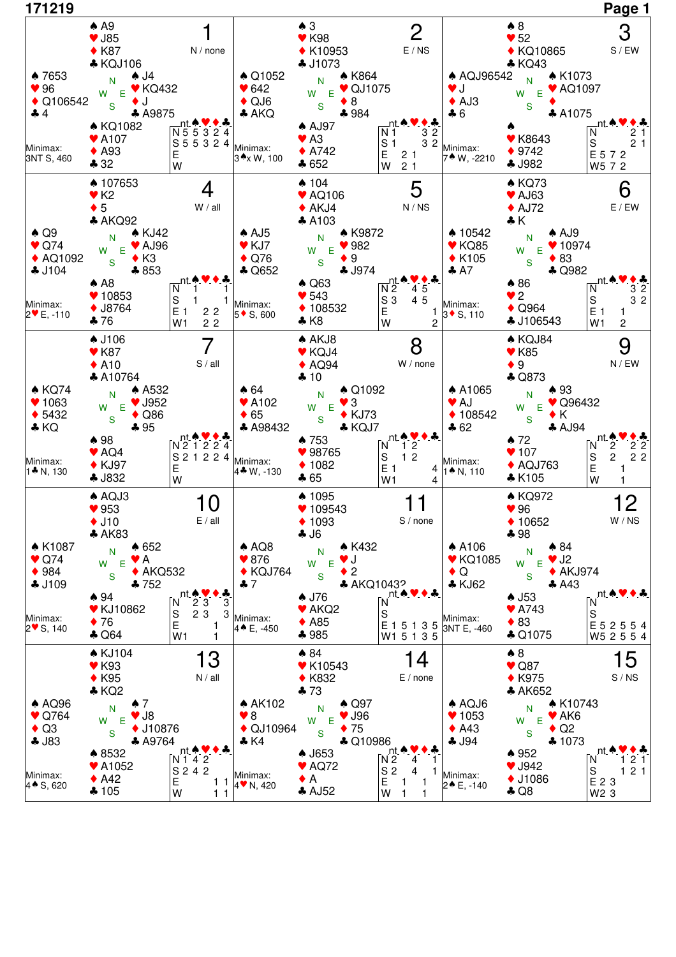